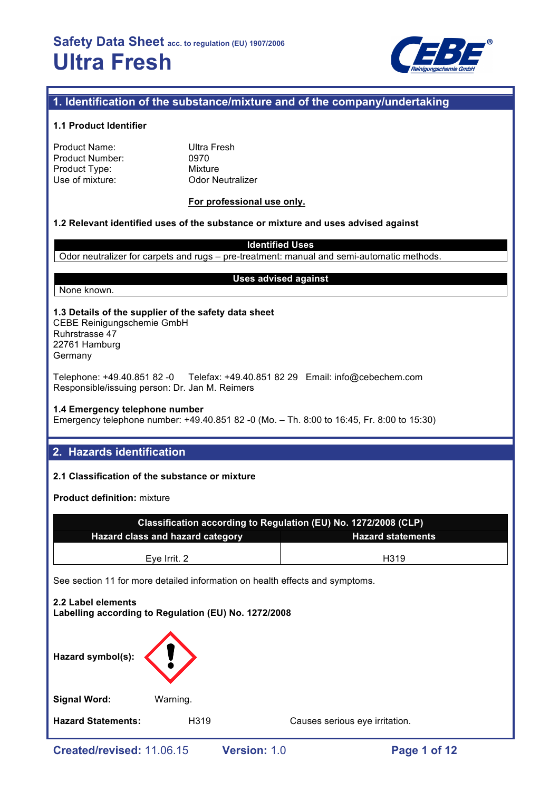

# **1. Identification of the substance/mixture and of the company/undertaking**

## **1.1 Product Identifier**

| Product Name:   |  |
|-----------------|--|
| Product Number: |  |
| Product Type:   |  |
| Use of mixture: |  |

**Ultra Fresh** 0970 **Mixture Odor Neutralizer** 

## **For professional use only.**

## **1.2 Relevant identified uses of the substance or mixture and uses advised against**

**Identified Uses**

Odor neutralizer for carpets and rugs – pre-treatment: manual and semi-automatic methods.

None known.

### **Uses advised against**

## **1.3 Details of the supplier of the safety data sheet** CEBE Reinigungschemie GmbH Ruhrstrasse 47

22761 Hamburg Germany

Telephone: +49.40.851 82 -0 Telefax: +49.40.851 82 29 Email: info@cebechem.com Responsible/issuing person: Dr. Jan M. Reimers

## **1.4 Emergency telephone number**

Emergency telephone number: +49.40.851 82 -0 (Mo. – Th. 8:00 to 16:45, Fr. 8:00 to 15:30)

# **2. Hazards identification**

## **2.1 Classification of the substance or mixture**

**Product definition:** mixture

| Classification according to Regulation (EU) No. 1272/2008 (CLP)              |  |  |  |  |  |  |
|------------------------------------------------------------------------------|--|--|--|--|--|--|
| <b>Hazard class and hazard category</b><br><b>Hazard statements</b>          |  |  |  |  |  |  |
|                                                                              |  |  |  |  |  |  |
| Eye Irrit. 2<br>H319                                                         |  |  |  |  |  |  |
| See section 11 for more detailed information on health effects and symptoms. |  |  |  |  |  |  |
| 2.2 Label elements<br>Labelling according to Regulation (EU) No. 1272/2008   |  |  |  |  |  |  |

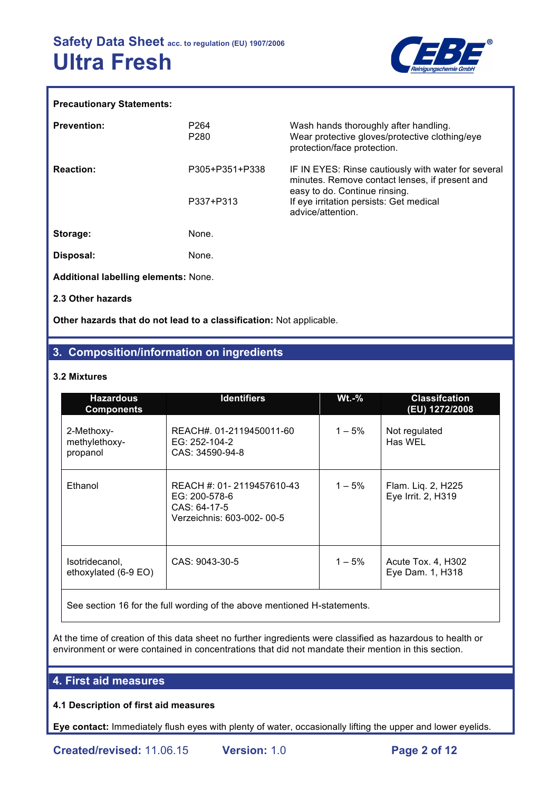

#### **Precautionary Statements:**

| <b>Prevention:</b>                          | P <sub>264</sub> | Wash hands thoroughly after handling.                                                                                                  |
|---------------------------------------------|------------------|----------------------------------------------------------------------------------------------------------------------------------------|
|                                             | P <sub>280</sub> | Wear protective gloves/protective clothing/eye<br>protection/face protection.                                                          |
| <b>Reaction:</b>                            | P305+P351+P338   | IF IN EYES: Rinse cautiously with water for several<br>minutes. Remove contact lenses, if present and<br>easy to do. Continue rinsing. |
|                                             | P337+P313        | If eye irritation persists: Get medical<br>advice/attention.                                                                           |
| Storage:                                    | None.            |                                                                                                                                        |
| Disposal:                                   | None.            |                                                                                                                                        |
| <b>Additional labelling elements: None.</b> |                  |                                                                                                                                        |
| 2.3 Other hazards                           |                  |                                                                                                                                        |

**Other hazards that do not lead to a classification:** Not applicable.

# **3. Composition/information on ingredients**

## **3.2 Mixtures**

| <b>Hazardous</b><br><b>Components</b>   | <b>Identifiers</b>                                                                      | $Wt.-%$   | <b>Classifcation</b><br>(EU) 1272/2008   |  |
|-----------------------------------------|-----------------------------------------------------------------------------------------|-----------|------------------------------------------|--|
| 2-Methoxy-<br>methylethoxy-<br>propanol | REACH#. 01-2119450011-60<br>EG: 252-104-2<br>CAS: 34590-94-8                            | $1 - 5\%$ | Not regulated<br>Has WEL                 |  |
| Ethanol                                 | REACH #: 01-2119457610-43<br>EG: 200-578-6<br>CAS: 64-17-5<br>Verzeichnis: 603-002-00-5 | $1 - 5%$  | Flam. Liq. 2, H225<br>Eye Irrit. 2, H319 |  |
| Isotridecanol,<br>ethoxylated (6-9 EO)  | CAS: 9043-30-5                                                                          | $1 - 5%$  | Acute Tox. 4, H302<br>Eye Dam. 1, H318   |  |

See section 16 for the full wording of the above mentioned H-statements.

At the time of creation of this data sheet no further ingredients were classified as hazardous to health or environment or were contained in concentrations that did not mandate their mention in this section.

## **4. First aid measures**

## **4.1 Description of first aid measures**

**Eye contact:** Immediately flush eyes with plenty of water, occasionally lifting the upper and lower eyelids.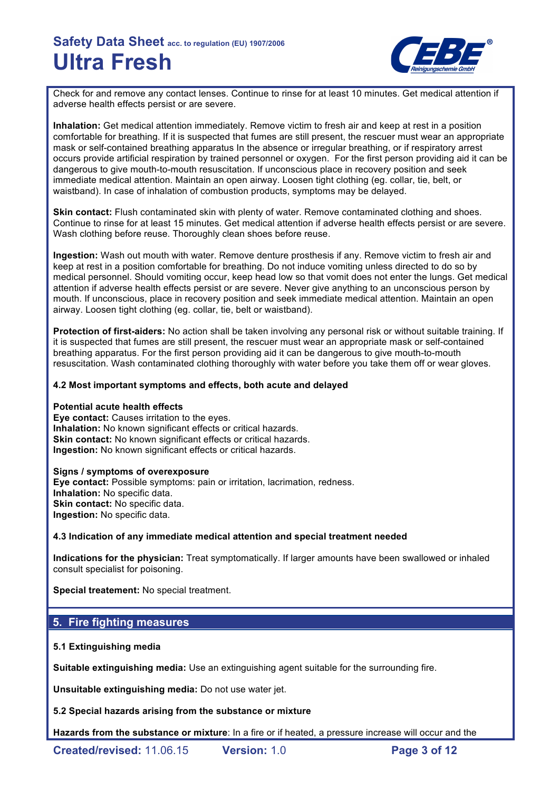

Check for and remove any contact lenses. Continue to rinse for at least 10 minutes. Get medical attention if adverse health effects persist or are severe.

**Inhalation:** Get medical attention immediately. Remove victim to fresh air and keep at rest in a position comfortable for breathing. If it is suspected that fumes are still present, the rescuer must wear an appropriate mask or self-contained breathing apparatus In the absence or irregular breathing, or if respiratory arrest occurs provide artificial respiration by trained personnel or oxygen. For the first person providing aid it can be dangerous to give mouth-to-mouth resuscitation. If unconscious place in recovery position and seek immediate medical attention. Maintain an open airway. Loosen tight clothing (eg. collar, tie, belt, or waistband). In case of inhalation of combustion products, symptoms may be delayed.

**Skin contact:** Flush contaminated skin with plenty of water. Remove contaminated clothing and shoes. Continue to rinse for at least 15 minutes. Get medical attention if adverse health effects persist or are severe. Wash clothing before reuse. Thoroughly clean shoes before reuse.

**Ingestion:** Wash out mouth with water. Remove denture prosthesis if any. Remove victim to fresh air and keep at rest in a position comfortable for breathing. Do not induce vomiting unless directed to do so by medical personnel. Should vomiting occur, keep head low so that vomit does not enter the lungs. Get medical attention if adverse health effects persist or are severe. Never give anything to an unconscious person by mouth. If unconscious, place in recovery position and seek immediate medical attention. Maintain an open airway. Loosen tight clothing (eg. collar, tie, belt or waistband).

**Protection of first-aiders:** No action shall be taken involving any personal risk or without suitable training. If it is suspected that fumes are still present, the rescuer must wear an appropriate mask or self-contained breathing apparatus. For the first person providing aid it can be dangerous to give mouth-to-mouth resuscitation. Wash contaminated clothing thoroughly with water before you take them off or wear gloves.

## **4.2 Most important symptoms and effects, both acute and delayed**

#### **Potential acute health effects**

**Eye contact:** Causes irritation to the eyes. **Inhalation:** No known significant effects or critical hazards. **Skin contact:** No known significant effects or critical hazards. **Ingestion:** No known significant effects or critical hazards.

#### **Signs / symptoms of overexposure**

**Eye contact:** Possible symptoms: pain or irritation, lacrimation, redness. **Inhalation:** No specific data. **Skin contact:** No specific data. **Ingestion:** No specific data.

## **4.3 Indication of any immediate medical attention and special treatment needed**

**Indications for the physician:** Treat symptomatically. If larger amounts have been swallowed or inhaled consult specialist for poisoning.

**Special treatement:** No special treatment.

# **5. Fire fighting measures**

## **5.1 Extinguishing media**

**Suitable extinguishing media:** Use an extinguishing agent suitable for the surrounding fire.

**Unsuitable extinguishing media:** Do not use water jet.

**5.2 Special hazards arising from the substance or mixture**

**Hazards from the substance or mixture**: In a fire or if heated, a pressure increase will occur and the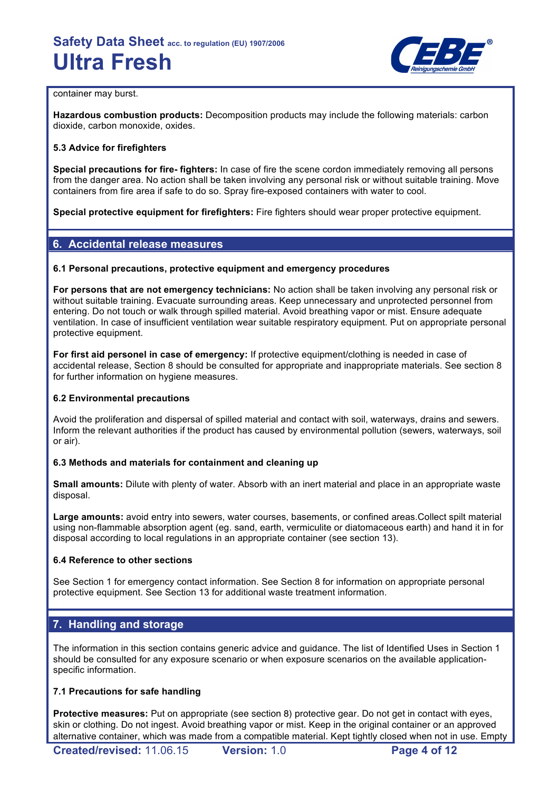

#### container may burst.

**Hazardous combustion products:** Decomposition products may include the following materials: carbon dioxide, carbon monoxide, oxides.

## **5.3 Advice for firefighters**

**Special precautions for fire- fighters:** In case of fire the scene cordon immediately removing all persons from the danger area. No action shall be taken involving any personal risk or without suitable training. Move containers from fire area if safe to do so. Spray fire-exposed containers with water to cool.

**Special protective equipment for firefighters:** Fire fighters should wear proper protective equipment.

# **6. Accidental release measures**

## **6.1 Personal precautions, protective equipment and emergency procedures**

**For persons that are not emergency technicians:** No action shall be taken involving any personal risk or without suitable training. Evacuate surrounding areas. Keep unnecessary and unprotected personnel from entering. Do not touch or walk through spilled material. Avoid breathing vapor or mist. Ensure adequate ventilation. In case of insufficient ventilation wear suitable respiratory equipment. Put on appropriate personal protective equipment.

**For first aid personel in case of emergency:** If protective equipment/clothing is needed in case of accidental release, Section 8 should be consulted for appropriate and inappropriate materials. See section 8 for further information on hygiene measures.

## **6.2 Environmental precautions**

Avoid the proliferation and dispersal of spilled material and contact with soil, waterways, drains and sewers. Inform the relevant authorities if the product has caused by environmental pollution (sewers, waterways, soil or air).

## **6.3 Methods and materials for containment and cleaning up**

**Small amounts:** Dilute with plenty of water. Absorb with an inert material and place in an appropriate waste disposal.

**Large amounts:** avoid entry into sewers, water courses, basements, or confined areas.Collect spilt material using non-flammable absorption agent (eg. sand, earth, vermiculite or diatomaceous earth) and hand it in for disposal according to local regulations in an appropriate container (see section 13).

## **6.4 Reference to other sections**

See Section 1 for emergency contact information. See Section 8 for information on appropriate personal protective equipment. See Section 13 for additional waste treatment information.

# **7. Handling and storage**

The information in this section contains generic advice and guidance. The list of Identified Uses in Section 1 should be consulted for any exposure scenario or when exposure scenarios on the available applicationspecific information.

## **7.1 Precautions for safe handling**

**Protective measures:** Put on appropriate (see section 8) protective gear. Do not get in contact with eyes, skin or clothing. Do not ingest. Avoid breathing vapor or mist. Keep in the original container or an approved alternative container, which was made from a compatible material. Kept tightly closed when not in use. Empty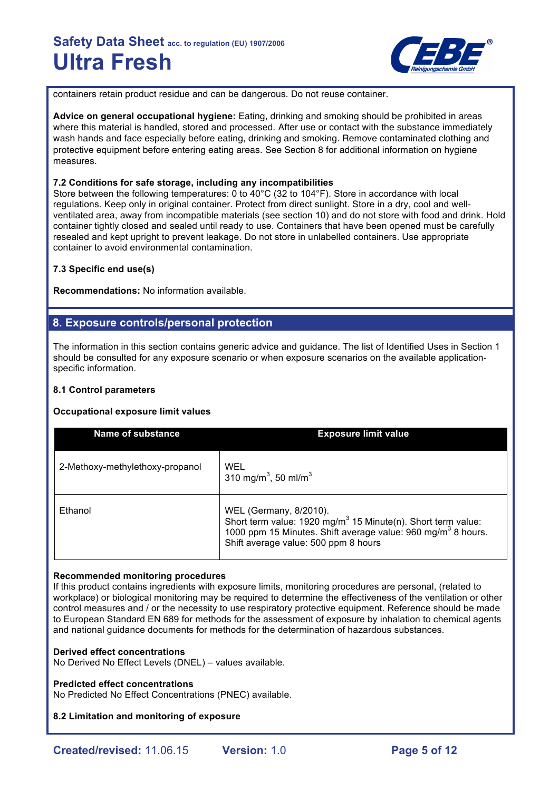

containers retain product residue and can be dangerous. Do not reuse container.

**Advice on general occupational hygiene:** Eating, drinking and smoking should be prohibited in areas where this material is handled, stored and processed. After use or contact with the substance immediately wash hands and face especially before eating, drinking and smoking. Remove contaminated clothing and protective equipment before entering eating areas. See Section 8 for additional information on hygiene measures.

## **7.2 Conditions for safe storage, including any incompatibilities**

Store between the following temperatures: 0 to 40°C (32 to 104°F). Store in accordance with local regulations. Keep only in original container. Protect from direct sunlight. Store in a dry, cool and wellventilated area, away from incompatible materials (see section 10) and do not store with food and drink. Hold container tightly closed and sealed until ready to use. Containers that have been opened must be carefully resealed and kept upright to prevent leakage. Do not store in unlabelled containers. Use appropriate container to avoid environmental contamination.

## **7.3 Specific end use(s)**

**Recommendations:** No information available.

# **8. Exposure controls/personal protection**

The information in this section contains generic advice and guidance. The list of Identified Uses in Section 1 should be consulted for any exposure scenario or when exposure scenarios on the available applicationspecific information.

## **8.1 Control parameters**

## **Occupational exposure limit values**

| <b>Name of substance</b>        | <b>Exposure limit value</b>                                                                                                                                                                                            |
|---------------------------------|------------------------------------------------------------------------------------------------------------------------------------------------------------------------------------------------------------------------|
| 2-Methoxy-methylethoxy-propanol | WEL<br>310 mg/m <sup>3</sup> , 50 ml/m <sup>3</sup>                                                                                                                                                                    |
| Ethanol                         | WEL (Germany, 8/2010).<br>Short term value: 1920 mg/m <sup>3</sup> 15 Minute(n). Short term value:<br>1000 ppm 15 Minutes. Shift average value: 960 mg/m <sup>3</sup> 8 hours.<br>Shift average value: 500 ppm 8 hours |

## **Recommended monitoring procedures**

If this product contains ingredients with exposure limits, monitoring procedures are personal, (related to workplace) or biological monitoring may be required to determine the effectiveness of the ventilation or other control measures and / or the necessity to use respiratory protective equipment. Reference should be made to European Standard EN 689 for methods for the assessment of exposure by inhalation to chemical agents and national guidance documents for methods for the determination of hazardous substances.

## **Derived effect concentrations**

No Derived No Effect Levels (DNEL) – values available.

## **Predicted effect concentrations**

No Predicted No Effect Concentrations (PNEC) available.

## **8.2 Limitation and monitoring of exposure**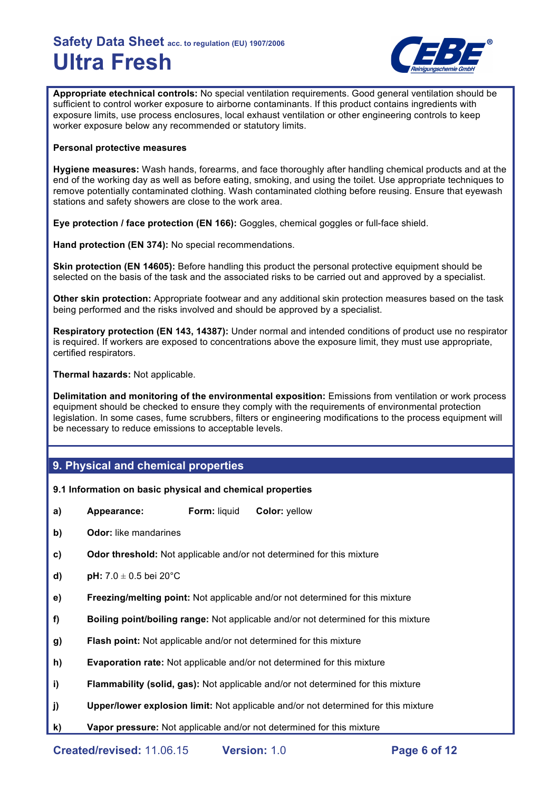

**Appropriate etechnical controls:** No special ventilation requirements. Good general ventilation should be sufficient to control worker exposure to airborne contaminants. If this product contains ingredients with exposure limits, use process enclosures, local exhaust ventilation or other engineering controls to keep worker exposure below any recommended or statutory limits.

## **Personal protective measures**

**Hygiene measures:** Wash hands, forearms, and face thoroughly after handling chemical products and at the end of the working day as well as before eating, smoking, and using the toilet. Use appropriate techniques to remove potentially contaminated clothing. Wash contaminated clothing before reusing. Ensure that eyewash stations and safety showers are close to the work area.

**Eye protection / face protection (EN 166):** Goggles, chemical goggles or full-face shield.

**Hand protection (EN 374):** No special recommendations.

**Skin protection (EN 14605):** Before handling this product the personal protective equipment should be selected on the basis of the task and the associated risks to be carried out and approved by a specialist.

**Other skin protection:** Appropriate footwear and any additional skin protection measures based on the task being performed and the risks involved and should be approved by a specialist.

**Respiratory protection (EN 143, 14387):** Under normal and intended conditions of product use no respirator is required. If workers are exposed to concentrations above the exposure limit, they must use appropriate, certified respirators.

**Thermal hazards:** Not applicable.

**Delimitation and monitoring of the environmental exposition:** Emissions from ventilation or work process equipment should be checked to ensure they comply with the requirements of environmental protection legislation. In some cases, fume scrubbers, filters or engineering modifications to the process equipment will be necessary to reduce emissions to acceptable levels.

## **9. Physical and chemical properties**

#### **9.1 Information on basic physical and chemical properties**

- **a) Appearance: Form:** liquid **Color:** yellow
- **b) Odor:** like mandarines
- **c) Odor threshold:** Not applicable and/or not determined for this mixture
- **d) pH:** 7.0 ± 0.5 bei 20°C
- **e) Freezing/melting point:** Not applicable and/or not determined for this mixture
- **f) Boiling point/boiling range:** Not applicable and/or not determined for this mixture
- **g) Flash point:** Not applicable and/or not determined for this mixture
- **h) Evaporation rate:** Not applicable and/or not determined for this mixture
- **i) Flammability (solid, gas):** Not applicable and/or not determined for this mixture
- **j) Upper/lower explosion limit:** Not applicable and/or not determined for this mixture
- **k) Vapor pressure:** Not applicable and/or not determined for this mixture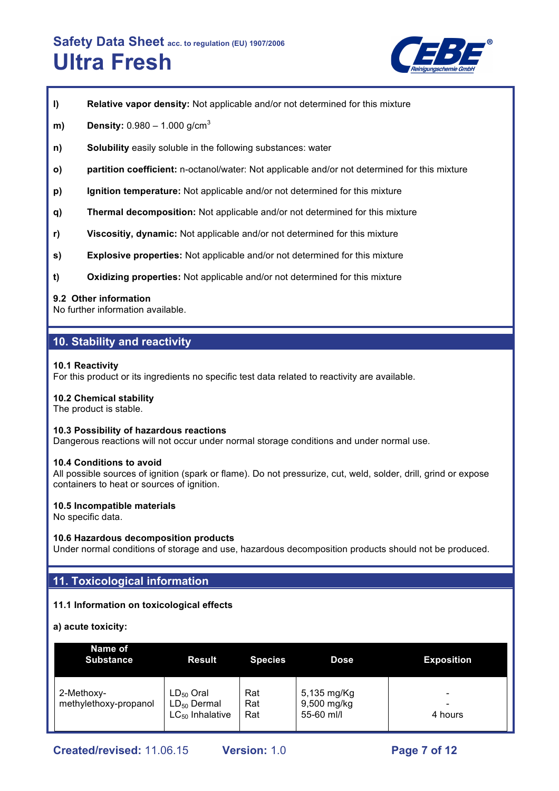

- **l) Relative vapor density:** Not applicable and/or not determined for this mixture
- **m) Density:** 0.980 1.000 g/cm<sup>3</sup>
- **n) Solubility** easily soluble in the following substances: water
- **o) partition coefficient:** n-octanol/water: Not applicable and/or not determined for this mixture
- **p) Ignition temperature:** Not applicable and/or not determined for this mixture
- **q) Thermal decomposition:** Not applicable and/or not determined for this mixture
- **r) Viscositiy, dynamic:** Not applicable and/or not determined for this mixture
- **s) Explosive properties:** Not applicable and/or not determined for this mixture
- **t) Oxidizing properties:** Not applicable and/or not determined for this mixture

#### **9.2 Other information**

No further information available.

## **10. Stability and reactivity**

#### **10.1 Reactivity**

For this product or its ingredients no specific test data related to reactivity are available.

#### **10.2 Chemical stability**

The product is stable.

#### **10.3 Possibility of hazardous reactions**

Dangerous reactions will not occur under normal storage conditions and under normal use.

#### **10.4 Conditions to avoid**

All possible sources of ignition (spark or flame). Do not pressurize, cut, weld, solder, drill, grind or expose containers to heat or sources of ignition.

#### **10.5 Incompatible materials**

No specific data.

#### **10.6 Hazardous decomposition products**

Under normal conditions of storage and use, hazardous decomposition products should not be produced.

## **11. Toxicological information**

## **11.1 Information on toxicological effects**

**a) acute toxicity:**

| Name of<br><b>Substance</b>         | Result                                                     | <b>Species</b>    | <b>Dose</b>                              | <b>Exposition</b> |
|-------------------------------------|------------------------------------------------------------|-------------------|------------------------------------------|-------------------|
| 2-Methoxy-<br>methylethoxy-propanol | $LD_{50}$ Oral<br>$LD_{50}$ Dermal<br>$LC_{50}$ Inhalative | Rat<br>Rat<br>Rat | 5,135 mg/Kg<br>9,500 mg/kg<br>55-60 ml/l | 4 hours           |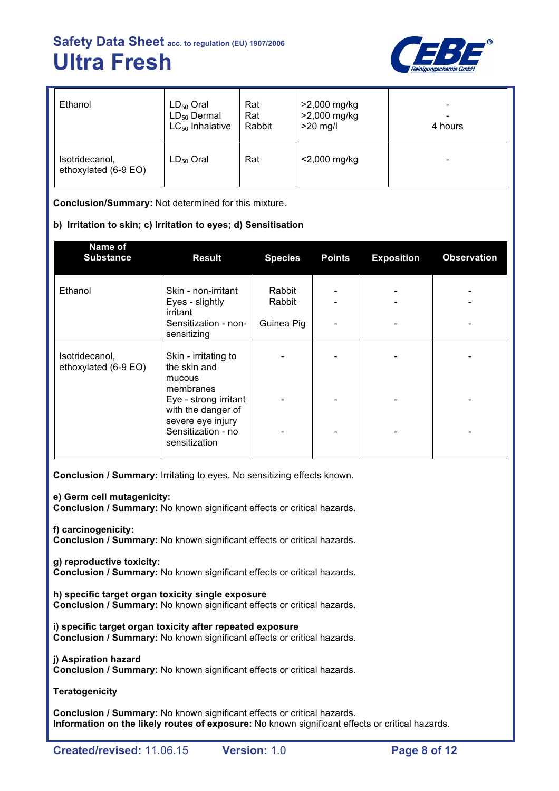

| Ethanol                                | $LD_{50}$ Oral       | Rat    | >2,000 mg/kg | $\qquad \qquad \blacksquare$ |
|----------------------------------------|----------------------|--------|--------------|------------------------------|
|                                        | $LD_{50}$ Dermal     | Rat    | >2,000 mg/kg | -                            |
|                                        | $LC_{50}$ Inhalative | Rabbit | $>20$ mg/l   | 4 hours                      |
| Isotridecanol,<br>ethoxylated (6-9 EO) | $LD_{50}$ Oral       | Rat    | <2,000 mg/kg | $\overline{\phantom{0}}$     |

**Conclusion/Summary:** Not determined for this mixture.

## **b) Irritation to skin; c) Irritation to eyes; d) Sensitisation**

| Name of<br><b>Substance</b>            | <b>Result</b>                                                    | <b>Species</b>   | <b>Points</b> | <b>Exposition</b> | <b>Observation</b> |
|----------------------------------------|------------------------------------------------------------------|------------------|---------------|-------------------|--------------------|
| Ethanol                                | Skin - non-irritant<br>Eyes - slightly<br>irritant               | Rabbit<br>Rabbit |               |                   |                    |
|                                        | Sensitization - non-<br>sensitizing                              | Guinea Pig       |               |                   |                    |
| Isotridecanol,<br>ethoxylated (6-9 EO) | Skin - irritating to<br>the skin and<br>mucous<br>membranes      |                  |               |                   |                    |
|                                        | Eye - strong irritant<br>with the danger of<br>severe eye injury |                  |               |                   |                    |
|                                        | Sensitization - no<br>sensitization                              |                  |               |                   |                    |

**Conclusion / Summary:** Irritating to eyes. No sensitizing effects known.

**e) Germ cell mutagenicity:**

**Conclusion / Summary:** No known significant effects or critical hazards.

**f) carcinogenicity:**

**Conclusion / Summary:** No known significant effects or critical hazards.

**g) reproductive toxicity:**

**Conclusion / Summary:** No known significant effects or critical hazards.

**h) specific target organ toxicity single exposure Conclusion / Summary:** No known significant effects or critical hazards.

**i) specific target organ toxicity after repeated exposure Conclusion / Summary:** No known significant effects or critical hazards.

**j) Aspiration hazard Conclusion / Summary:** No known significant effects or critical hazards.

**Teratogenicity**

**Conclusion / Summary:** No known significant effects or critical hazards. **Information on the likely routes of exposure:** No known significant effects or critical hazards.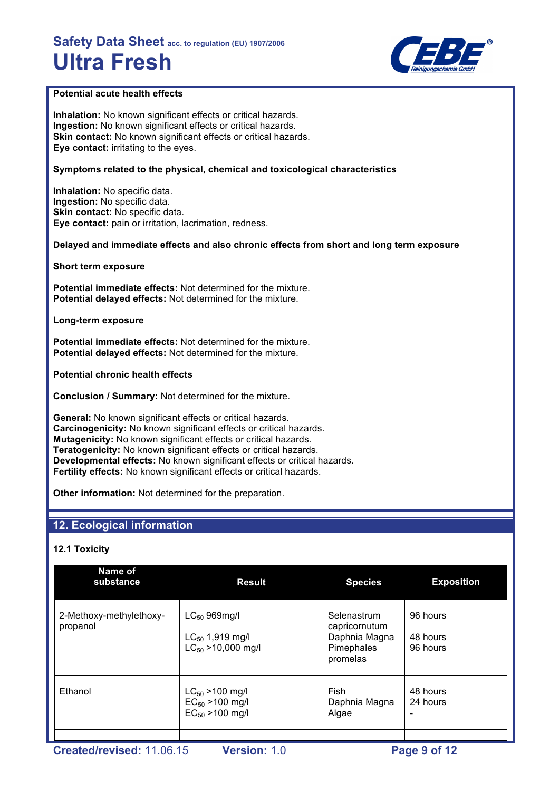

## **Potential acute health effects**

**Inhalation:** No known significant effects or critical hazards. **Ingestion:** No known significant effects or critical hazards. **Skin contact:** No known significant effects or critical hazards. **Eye contact:** irritating to the eyes.

## **Symptoms related to the physical, chemical and toxicological characteristics**

**Inhalation:** No specific data. **Ingestion:** No specific data. **Skin contact:** No specific data. **Eye contact:** pain or irritation, lacrimation, redness.

**Delayed and immediate effects and also chronic effects from short and long term exposure**

**Short term exposure**

**Potential immediate effects:** Not determined for the mixture. **Potential delayed effects:** Not determined for the mixture.

**Long-term exposure**

**Potential immediate effects:** Not determined for the mixture. **Potential delayed effects:** Not determined for the mixture.

**Potential chronic health effects**

**Conclusion / Summary:** Not determined for the mixture.

**General:** No known significant effects or critical hazards. **Carcinogenicity:** No known significant effects or critical hazards. **Mutagenicity:** No known significant effects or critical hazards. **Teratogenicity:** No known significant effects or critical hazards. **Developmental effects:** No known significant effects or critical hazards. **Fertility effects:** No known significant effects or critical hazards.

**Other information:** Not determined for the preparation.

# **12. Ecological information**

## **12.1 Toxicity**

| Name of<br>substance                | <b>Result</b>                                                        | <b>Species</b>                                                          | <b>Exposition</b>                |
|-------------------------------------|----------------------------------------------------------------------|-------------------------------------------------------------------------|----------------------------------|
| 2-Methoxy-methylethoxy-<br>propanol | $LC_{50}$ 969mg/l<br>$LC_{50}$ 1,919 mg/l<br>$LC_{50}$ > 10,000 mg/l | Selenastrum<br>capricornutum<br>Daphnia Magna<br>Pimephales<br>promelas | 96 hours<br>48 hours<br>96 hours |
| Ethanol                             | $LC_{50}$ > 100 mg/l<br>$EC_{50}$ > 100 mg/l<br>$EC_{50} > 100$ mg/l | Fish<br>Daphnia Magna<br>Algae                                          | 48 hours<br>24 hours             |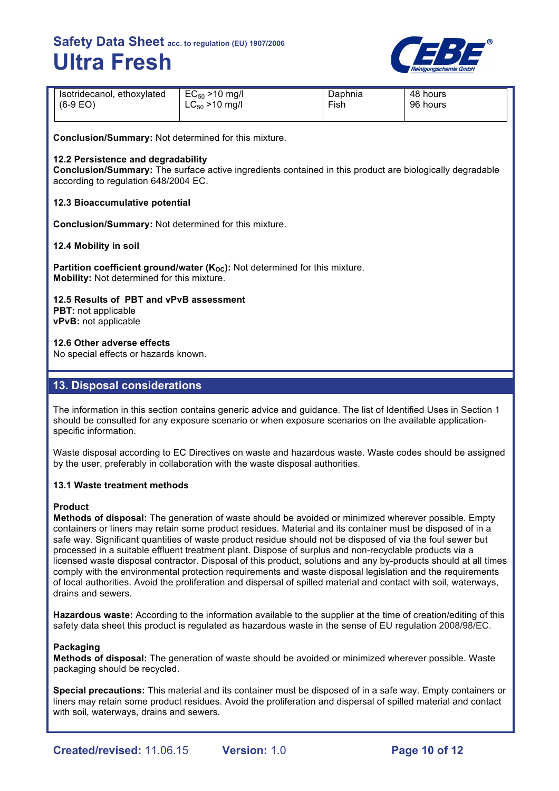

| Isotridecanol, ethoxylated | $EC_{50} > 10$ mg/l | Daphnia | 48 hours |
|----------------------------|---------------------|---------|----------|
| $(6-9)$ EO)                | $LC_{50}$ > 10 mg/l | Fish    | 96 hours |
|                            |                     |         |          |

**Conclusion/Summary:** Not determined for this mixture.

### **12.2 Persistence and degradability**

**Conclusion/Summary:** The surface active ingredients contained in this product are biologically degradable according to regulation 648/2004 EC.

#### **12.3 Bioaccumulative potential**

**Conclusion/Summary:** Not determined for this mixture.

#### **12.4 Mobility in soil**

**Partition coefficient ground/water (K<sub>OC</sub>):** Not determined for this mixture. **Mobility:** Not determined for this mixture.

**12.5 Results of PBT and vPvB assessment**

**PBT:** not applicable **vPvB:** not applicable

**12.6 Other adverse effects**

No special effects or hazards known.

# **13. Disposal considerations**

The information in this section contains generic advice and guidance. The list of Identified Uses in Section 1 should be consulted for any exposure scenario or when exposure scenarios on the available applicationspecific information.

Waste disposal according to EC Directives on waste and hazardous waste. Waste codes should be assigned by the user, preferably in collaboration with the waste disposal authorities.

#### **13.1 Waste treatment methods**

#### **Product**

**Methods of disposal:** The generation of waste should be avoided or minimized wherever possible. Empty containers or liners may retain some product residues. Material and its container must be disposed of in a safe way. Significant quantities of waste product residue should not be disposed of via the foul sewer but processed in a suitable effluent treatment plant. Dispose of surplus and non-recyclable products via a licensed waste disposal contractor. Disposal of this product, solutions and any by-products should at all times comply with the environmental protection requirements and waste disposal legislation and the requirements of local authorities. Avoid the proliferation and dispersal of spilled material and contact with soil, waterways, drains and sewers.

**Hazardous waste:** According to the information available to the supplier at the time of creation/editing of this safety data sheet this product is regulated as hazardous waste in the sense of EU regulation 2008/98/EC.

#### **Packaging**

**Methods of disposal:** The generation of waste should be avoided or minimized wherever possible. Waste packaging should be recycled.

**Special precautions:** This material and its container must be disposed of in a safe way. Empty containers or liners may retain some product residues. Avoid the proliferation and dispersal of spilled material and contact with soil, waterways, drains and sewers.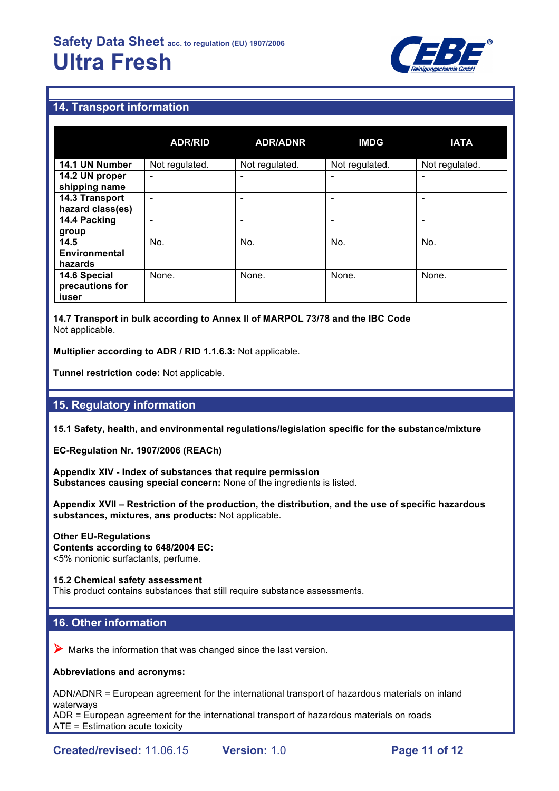

# **14. Transport information**

|                      | <b>ADR/RID</b>           | <b>ADR/ADNR</b> | <b>IMDG</b>    | <b>IATA</b>              |
|----------------------|--------------------------|-----------------|----------------|--------------------------|
| 14.1 UN Number       | Not regulated.           | Not regulated.  | Not regulated. | Not regulated.           |
| 14.2 UN proper       | -                        |                 |                | ۰                        |
| shipping name        |                          |                 |                |                          |
| 14.3 Transport       | $\overline{\phantom{0}}$ |                 | ٠              | $\overline{\phantom{0}}$ |
| hazard class(es)     |                          |                 |                |                          |
| 14.4 Packing         |                          |                 |                | ۰                        |
| group                |                          |                 |                |                          |
| 14.5                 | No.                      | No.             | No.            | No.                      |
| <b>Environmental</b> |                          |                 |                |                          |
| hazards              |                          |                 |                |                          |
| 14.6 Special         | None.                    | None.           | None.          | None.                    |
| precautions for      |                          |                 |                |                          |
| iuser                |                          |                 |                |                          |

**14.7 Transport in bulk according to Annex II of MARPOL 73/78 and the IBC Code** Not applicable.

**Multiplier according to ADR / RID 1.1.6.3:** Not applicable.

**Tunnel restriction code:** Not applicable.

## **15. Regulatory information**

**15.1 Safety, health, and environmental regulations/legislation specific for the substance/mixture**

**EC-Regulation Nr. 1907/2006 (REACh)**

**Appendix XIV - Index of substances that require permission Substances causing special concern:** None of the ingredients is listed.

**Appendix XVII – Restriction of the production, the distribution, and the use of specific hazardous substances, mixtures, ans products:** Not applicable.

**Other EU-Regulations Contents according to 648/2004 EC:** <5% nonionic surfactants, perfume.

#### **15.2 Chemical safety assessment**

This product contains substances that still require substance assessments.

## **16. Other information**

 $\triangleright$  Marks the information that was changed since the last version.

#### **Abbreviations and acronyms:**

ADN/ADNR = European agreement for the international transport of hazardous materials on inland waterways

ADR = European agreement for the international transport of hazardous materials on roads ATE = Estimation acute toxicity